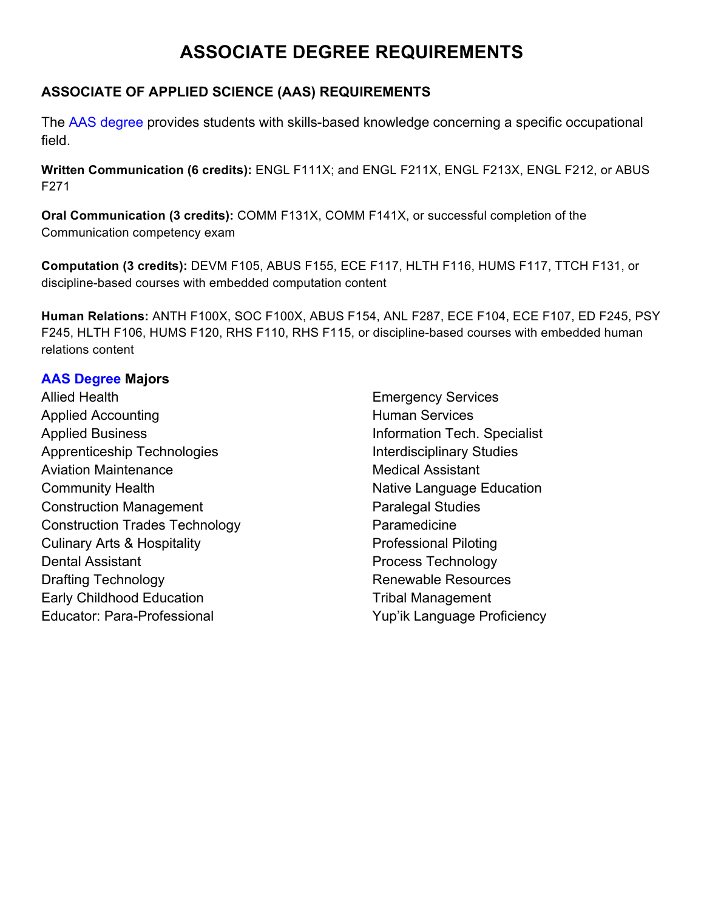# **ASSOCIATE DEGREE REQUIREMENTS**

# **ASSOCIATE OF APPLIED SCIENCE (AAS) REQUIREMENTS**

The AAS degree provides students with skills-based knowledge concerning a specific occupational field.

**Written Communication (6 credits):** ENGL F111X; and ENGL F211X, ENGL F213X, ENGL F212, or ABUS F271

**Oral Communication (3 credits):** COMM F131X, COMM F141X, or successful completion of the Communication competency exam

**Computation (3 credits):** DEVM F105, ABUS F155, ECE F117, HLTH F116, HUMS F117, TTCH F131, or discipline-based courses with embedded computation content

**Human Relations:** ANTH F100X, SOC F100X, ABUS F154, ANL F287, ECE F104, ECE F107, ED F245, PSY F245, HLTH F106, HUMS F120, RHS F110, RHS F115, or discipline-based courses with embedded human relations content

## **AAS Degree Majors**

Allied Health Applied Accounting Applied Business Apprenticeship Technologies Aviation Maintenance Community Health Construction Management Construction Trades Technology Culinary Arts & Hospitality Dental Assistant Drafting Technology Early Childhood Education Educator: Para-Professional

Emergency Services Human Services Information Tech. Specialist Interdisciplinary Studies Medical Assistant Native Language Education Paralegal Studies Paramedicine Professional Piloting Process Technology Renewable Resources Tribal Management Yup'ik Language Proficiency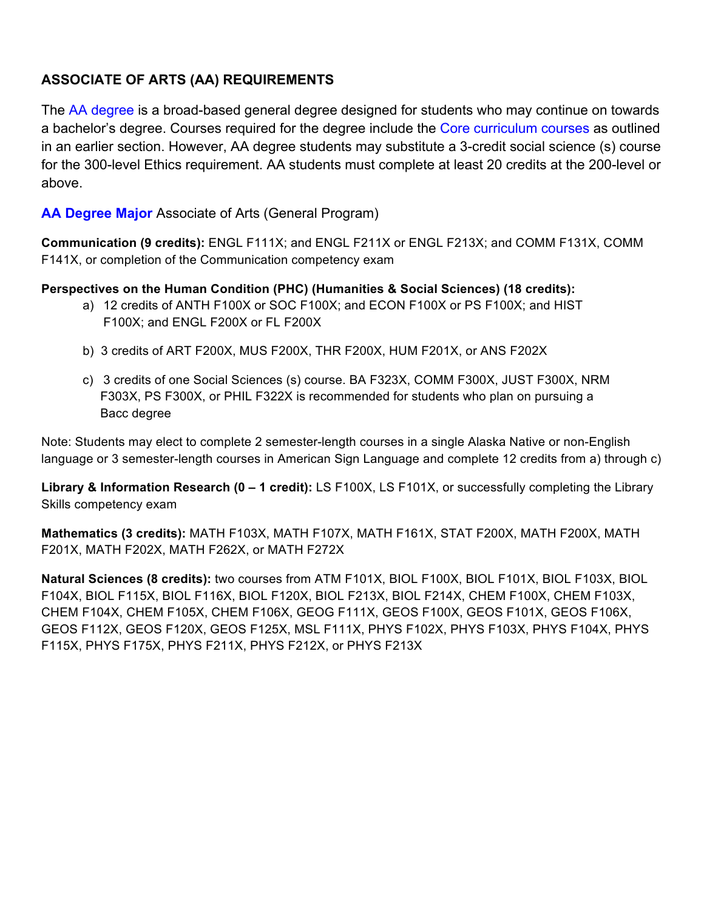# **ASSOCIATE OF ARTS (AA) REQUIREMENTS**

The AA degree is a broad-based general degree designed for students who may continue on towards a bachelor's degree. Courses required for the degree include the Core curriculum courses as outlined in an earlier section. However, AA degree students may substitute a 3-credit social science (s) course for the 300-level Ethics requirement. AA students must complete at least 20 credits at the 200-level or above.

## **AA Degree Major** Associate of Arts (General Program)

**Communication (9 credits):** ENGL F111X; and ENGL F211X or ENGL F213X; and COMM F131X, COMM F141X, or completion of the Communication competency exam

#### **Perspectives on the Human Condition (PHC) (Humanities & Social Sciences) (18 credits):**

- a) 12 credits of ANTH F100X or SOC F100X; and ECON F100X or PS F100X; and HIST F100X; and ENGL F200X or FL F200X
- b) 3 credits of ART F200X, MUS F200X, THR F200X, HUM F201X, or ANS F202X
- c) 3 credits of one Social Sciences (s) course. BA F323X, COMM F300X, JUST F300X, NRM F303X, PS F300X, or PHIL F322X is recommended for students who plan on pursuing a Bacc degree

Note: Students may elect to complete 2 semester-length courses in a single Alaska Native or non-English language or 3 semester-length courses in American Sign Language and complete 12 credits from a) through c)

**Library & Information Research (0 – 1 credit):** LS F100X, LS F101X, or successfully completing the Library Skills competency exam

**Mathematics (3 credits):** MATH F103X, MATH F107X, MATH F161X, STAT F200X, MATH F200X, MATH F201X, MATH F202X, MATH F262X, or MATH F272X

**Natural Sciences (8 credits):** two courses from ATM F101X, BIOL F100X, BIOL F101X, BIOL F103X, BIOL F104X, BIOL F115X, BIOL F116X, BIOL F120X, BIOL F213X, BIOL F214X, CHEM F100X, CHEM F103X, CHEM F104X, CHEM F105X, CHEM F106X, GEOG F111X, GEOS F100X, GEOS F101X, GEOS F106X, GEOS F112X, GEOS F120X, GEOS F125X, MSL F111X, PHYS F102X, PHYS F103X, PHYS F104X, PHYS F115X, PHYS F175X, PHYS F211X, PHYS F212X, or PHYS F213X